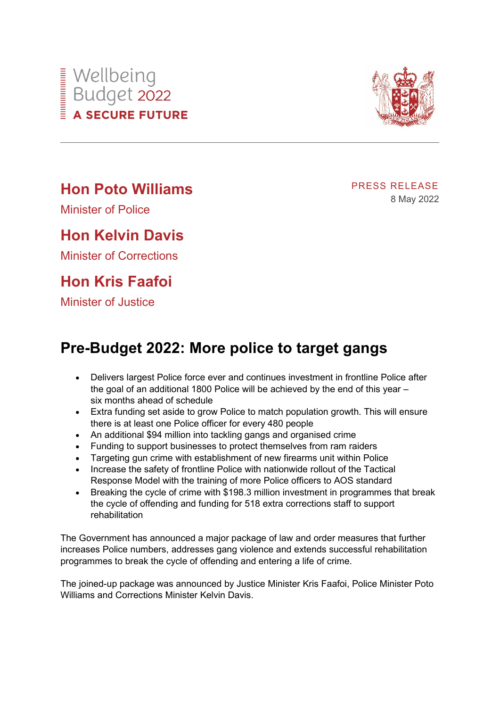

Minister of Police

## **Hon Kelvin Davis**

Minister of Corrections

## **Hon Kris Faafoi**

Minister of Justice

## **Pre-Budget 2022: More police to target gangs**

- Delivers largest Police force ever and continues investment in frontline Police after the goal of an additional 1800 Police will be achieved by the end of this year – six months ahead of schedule
- Extra funding set aside to grow Police to match population growth. This will ensure there is at least one Police officer for every 480 people
- An additional \$94 million into tackling gangs and organised crime
- Funding to support businesses to protect themselves from ram raiders
- Targeting gun crime with establishment of new firearms unit within Police
- Increase the safety of frontline Police with nationwide rollout of the Tactical Response Model with the training of more Police officers to AOS standard
- Breaking the cycle of crime with \$198.3 million investment in programmes that break the cycle of offending and funding for 518 extra corrections staff to support rehabilitation

The Government has announced a major package of law and order measures that further increases Police numbers, addresses gang violence and extends successful rehabilitation programmes to break the cycle of offending and entering a life of crime.

The joined-up package was announced by Justice Minister Kris Faafoi, Police Minister Poto Williams and Corrections Minister Kelvin Davis.

PRESS RELEASE 8 May 2022

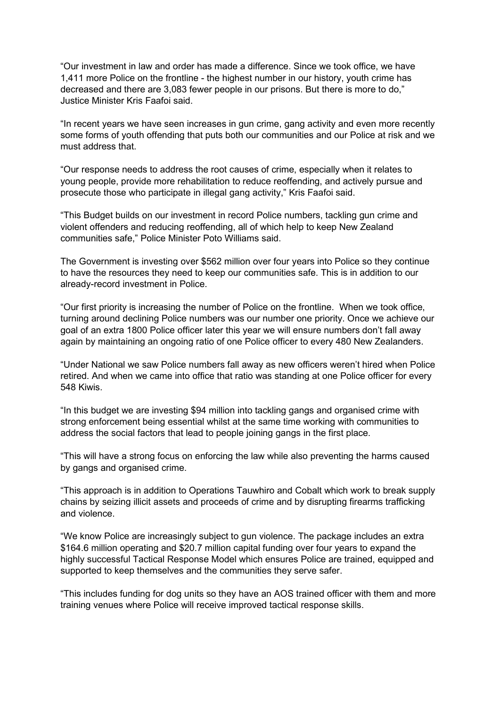"Our investment in law and order has made a difference. Since we took office, we have 1,411 more Police on the frontline - the highest number in our history, youth crime has decreased and there are 3,083 fewer people in our prisons. But there is more to do," Justice Minister Kris Faafoi said.

"In recent years we have seen increases in gun crime, gang activity and even more recently some forms of youth offending that puts both our communities and our Police at risk and we must address that.

"Our response needs to address the root causes of crime, especially when it relates to young people, provide more rehabilitation to reduce reoffending, and actively pursue and prosecute those who participate in illegal gang activity," Kris Faafoi said.

"This Budget builds on our investment in record Police numbers, tackling gun crime and violent offenders and reducing reoffending, all of which help to keep New Zealand communities safe," Police Minister Poto Williams said.

The Government is investing over \$562 million over four years into Police so they continue to have the resources they need to keep our communities safe. This is in addition to our already-record investment in Police.

"Our first priority is increasing the number of Police on the frontline. When we took office, turning around declining Police numbers was our number one priority. Once we achieve our goal of an extra 1800 Police officer later this year we will ensure numbers don't fall away again by maintaining an ongoing ratio of one Police officer to every 480 New Zealanders.

"Under National we saw Police numbers fall away as new officers weren't hired when Police retired. And when we came into office that ratio was standing at one Police officer for every 548 Kiwis.

"In this budget we are investing \$94 million into tackling gangs and organised crime with strong enforcement being essential whilst at the same time working with communities to address the social factors that lead to people joining gangs in the first place.

"This will have a strong focus on enforcing the law while also preventing the harms caused by gangs and organised crime.

"This approach is in addition to Operations Tauwhiro and Cobalt which work to break supply chains by seizing illicit assets and proceeds of crime and by disrupting firearms trafficking and violence.

"We know Police are increasingly subject to gun violence. The package includes an extra \$164.6 million operating and \$20.7 million capital funding over four years to expand the highly successful Tactical Response Model which ensures Police are trained, equipped and supported to keep themselves and the communities they serve safer.

"This includes funding for dog units so they have an AOS trained officer with them and more training venues where Police will receive improved tactical response skills.